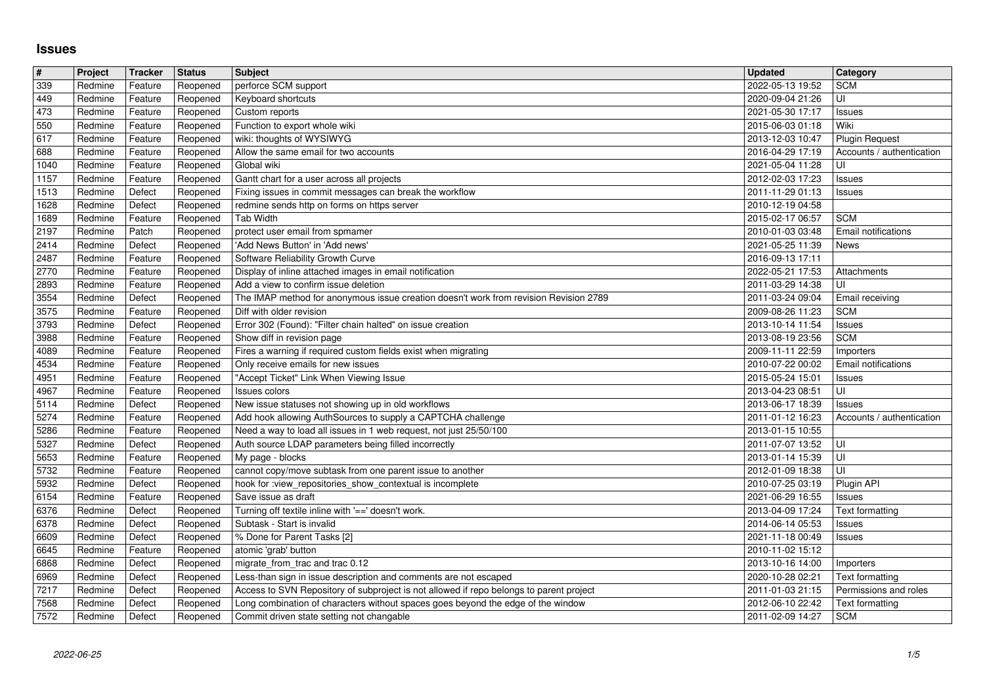## **Issues**

| $\pmb{\#}$   | Project            | Tracker            | <b>Status</b>        | <b>Subject</b>                                                                                                                | <b>Updated</b>                       | Category                               |
|--------------|--------------------|--------------------|----------------------|-------------------------------------------------------------------------------------------------------------------------------|--------------------------------------|----------------------------------------|
| 339          | Redmine            | Feature            | Reopened             | perforce SCM support                                                                                                          | 2022-05-13 19:52                     | <b>SCM</b>                             |
| 449<br>473   | Redmine<br>Redmine | Feature<br>Feature | Reopened<br>Reopened | Keyboard shortcuts<br>Custom reports                                                                                          | 2020-09-04 21:26<br>2021-05-30 17:17 | UI<br>Issues                           |
| 550          | Redmine            | Feature            | Reopened             | Function to export whole wiki                                                                                                 | 2015-06-03 01:18                     | Wiki                                   |
| 617          | Redmine            | Feature            | Reopened             | wiki: thoughts of WYSIWYG                                                                                                     | 2013-12-03 10:47                     | <b>Plugin Request</b>                  |
| 688          | Redmine            | Feature            | Reopened             | Allow the same email for two accounts                                                                                         | 2016-04-29 17:19                     | Accounts / authentication              |
| 1040<br>1157 | Redmine<br>Redmine | Feature<br>Feature | Reopened<br>Reopened | Global wiki<br>Gantt chart for a user across all projects                                                                     | 2021-05-04 11:28<br>2012-02-03 17:23 | UI<br>Issues                           |
| 1513         | Redmine            | Defect             | Reopened             | Fixing issues in commit messages can break the workflow                                                                       | 2011-11-29 01:13                     | Issues                                 |
| 1628         | Redmine            | Defect             | Reopened             | redmine sends http on forms on https server                                                                                   | 2010-12-19 04:58                     |                                        |
| 1689         | Redmine            | Feature            | Reopened             | <b>Tab Width</b>                                                                                                              | 2015-02-17 06:57                     | <b>SCM</b>                             |
| 2197<br>2414 | Redmine<br>Redmine | Patch<br>Defect    | Reopened<br>Reopened | protect user email from spmamer<br>'Add News Button' in 'Add news'                                                            | 2010-01-03 03:48<br>2021-05-25 11:39 | Email notifications<br>News            |
| 2487         | Redmine            | Feature            | Reopened             | Software Reliability Growth Curve                                                                                             | 2016-09-13 17:11                     |                                        |
| 2770         | Redmine            | Feature            | Reopened             | Display of inline attached images in email notification                                                                       | 2022-05-21 17:53                     | Attachments                            |
| 2893         | Redmine            | Feature            | Reopened             | Add a view to confirm issue deletion                                                                                          | 2011-03-29 14:38                     | UI                                     |
| 3554<br>3575 | Redmine<br>Redmine | Defect<br>Feature  | Reopened<br>Reopened | The IMAP method for anonymous issue creation doesn't work from revision Revision 2789<br>Diff with older revision             | 2011-03-24 09:04<br>2009-08-26 11:23 | Email receiving<br><b>SCM</b>          |
| 3793         | Redmine            | Defect             | Reopened             | Error 302 (Found): "Filter chain halted" on issue creation                                                                    | 2013-10-14 11:54                     | Issues                                 |
| 3988         | Redmine            | Feature            | Reopened             | Show diff in revision page                                                                                                    | 2013-08-19 23:56                     | <b>SCM</b>                             |
| 4089         | Redmine            | Feature            | Reopened             | Fires a warning if required custom fields exist when migrating                                                                | 2009-11-11 22:59                     | Importers                              |
| 4534<br>4951 | Redmine<br>Redmine | Feature<br>Feature | Reopened<br>Reopened | Only receive emails for new issues<br>"Accept Ticket" Link When Viewing Issue                                                 | 2010-07-22 00:02<br>2015-05-24 15:01 | Email notifications<br>Issues          |
| 4967         | Redmine            | Feature            | Reopened             | Issues colors                                                                                                                 | 2013-04-23 08:51                     | UI                                     |
| 5114         | Redmine            | Defect             | Reopened             | New issue statuses not showing up in old workflows                                                                            | 2013-06-17 18:39                     | Issues                                 |
| 5274         | Redmine            | Feature            | Reopened             | Add hook allowing AuthSources to supply a CAPTCHA challenge                                                                   | 2011-01-12 16:23                     | Accounts / authentication              |
| 5286<br>5327 | Redmine<br>Redmine | Feature<br>Defect  | Reopened<br>Reopened | Need a way to load all issues in 1 web request, not just 25/50/100<br>Auth source LDAP parameters being filled incorrectly    | 2013-01-15 10:55<br>2011-07-07 13:52 | ΙUΙ                                    |
| 5653         | Redmine            | Feature            | Reopened             | My page - blocks                                                                                                              | 2013-01-14 15:39                     | UI                                     |
| 5732         | Redmine            | Feature            | Reopened             | cannot copy/move subtask from one parent issue to another                                                                     | 2012-01-09 18:38                     | l UI                                   |
| 5932         | Redmine            | Defect             | Reopened             | hook for :view_repositories_show_contextual is incomplete                                                                     | 2010-07-25 03:19                     | Plugin API                             |
| 6154<br>6376 | Redmine<br>Redmine | Feature<br>Defect  | Reopened<br>Reopened | Save issue as draft<br>Turning off textile inline with '==' doesn't work.                                                     | 2021-06-29 16:55<br>2013-04-09 17:24 | Issues<br>Text formatting              |
| 6378         | Redmine            | Defect             | Reopened             | Subtask - Start is invalid                                                                                                    | 2014-06-14 05:53                     | Issues                                 |
| 6609         | Redmine            | Defect             | Reopened             | % Done for Parent Tasks [2]                                                                                                   | 2021-11-18 00:49                     | Issues                                 |
| 6645<br>6868 | Redmine<br>Redmine | Feature<br>Defect  | Reopened<br>Reopened | atomic 'grab' button<br>migrate_from_trac and trac 0.12                                                                       | 2010-11-02 15:12<br>2013-10-16 14:00 |                                        |
| 6969         | Redmine            | Defect             | Reopened             | Less-than sign in issue description and comments are not escaped                                                              | 2020-10-28 02:21                     | Importers<br>Text formatting           |
| 7217         | Redmine            | Defect             |                      | Reopened   Access to SVN Repository of subproject is not allowed if repo belongs to parent project                            |                                      | 2011-01-03 21:15 Permissions and roles |
| 7568<br>7572 | Redmine<br>Redmine | Defect<br>Defect   | Reopened<br>Reopened | Long combination of characters without spaces goes beyond the edge of the window<br>Commit driven state setting not changable | 2012-06-10 22:42<br>2011-02-09 14:27 | Text formatting<br><b>SCM</b>          |
|              |                    |                    |                      |                                                                                                                               |                                      |                                        |
|              |                    |                    |                      |                                                                                                                               |                                      |                                        |
|              |                    |                    |                      |                                                                                                                               |                                      |                                        |
|              |                    |                    |                      |                                                                                                                               |                                      |                                        |
|              |                    |                    |                      |                                                                                                                               |                                      |                                        |
|              |                    |                    |                      |                                                                                                                               |                                      |                                        |
|              |                    |                    |                      |                                                                                                                               |                                      |                                        |
|              |                    |                    |                      |                                                                                                                               |                                      |                                        |
|              |                    |                    |                      |                                                                                                                               |                                      |                                        |
|              |                    |                    |                      |                                                                                                                               |                                      |                                        |
|              |                    |                    |                      |                                                                                                                               |                                      |                                        |
|              |                    |                    |                      |                                                                                                                               |                                      |                                        |
|              |                    |                    |                      |                                                                                                                               |                                      |                                        |
|              |                    |                    |                      |                                                                                                                               |                                      |                                        |
|              |                    |                    |                      |                                                                                                                               |                                      |                                        |
|              |                    |                    |                      |                                                                                                                               |                                      |                                        |
|              |                    |                    |                      |                                                                                                                               |                                      |                                        |
|              |                    |                    |                      |                                                                                                                               |                                      |                                        |
|              |                    |                    |                      |                                                                                                                               |                                      |                                        |
|              |                    |                    |                      |                                                                                                                               |                                      |                                        |
|              |                    |                    |                      |                                                                                                                               |                                      |                                        |
|              |                    |                    |                      |                                                                                                                               |                                      |                                        |
|              |                    |                    |                      |                                                                                                                               |                                      |                                        |
|              |                    |                    |                      |                                                                                                                               |                                      |                                        |
|              |                    |                    |                      |                                                                                                                               |                                      |                                        |
|              |                    |                    |                      |                                                                                                                               |                                      |                                        |
|              |                    |                    |                      |                                                                                                                               |                                      |                                        |
|              |                    |                    |                      |                                                                                                                               |                                      |                                        |
|              |                    |                    |                      |                                                                                                                               |                                      |                                        |
|              |                    |                    |                      |                                                                                                                               |                                      |                                        |
|              |                    |                    |                      |                                                                                                                               |                                      |                                        |
|              |                    |                    |                      |                                                                                                                               |                                      |                                        |
|              |                    |                    |                      |                                                                                                                               |                                      |                                        |
|              |                    |                    |                      |                                                                                                                               |                                      |                                        |
|              |                    |                    |                      |                                                                                                                               |                                      |                                        |
|              |                    |                    |                      |                                                                                                                               |                                      |                                        |
|              |                    |                    |                      |                                                                                                                               |                                      |                                        |
|              |                    |                    |                      |                                                                                                                               |                                      |                                        |
|              |                    |                    |                      |                                                                                                                               |                                      |                                        |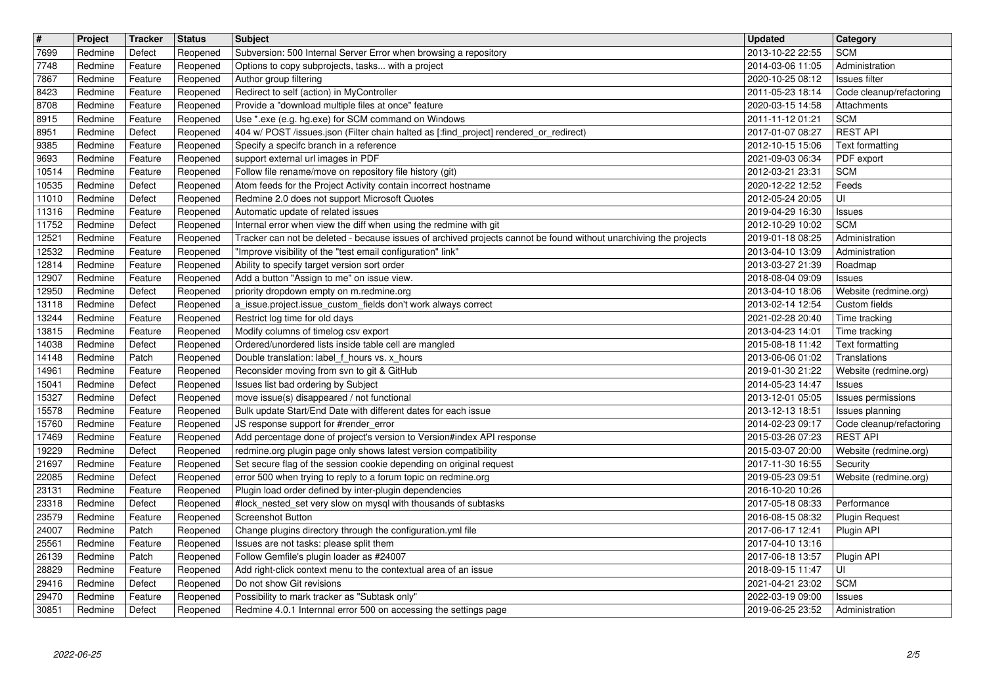| $\boxed{\texttt{#}}$ | Project            | Tracker            | <b>Status</b>        | <b>Subject</b>                                                                                                                    | <b>Updated</b>                                  | <b>Category</b>                             |
|----------------------|--------------------|--------------------|----------------------|-----------------------------------------------------------------------------------------------------------------------------------|-------------------------------------------------|---------------------------------------------|
| 7699                 | Redmine            | Defect             | Reopened             | Subversion: 500 Internal Server Error when browsing a repository                                                                  | 2013-10-22 22:55                                | <b>SCM</b>                                  |
| 7748<br>7867         | Redmine<br>Redmine | Feature<br>Feature | Reopened<br>Reopened | Options to copy subprojects, tasks with a project<br>Author group filtering                                                       | 2014-03-06 11:05<br>2020-10-25 08:12            | Administration<br>Issues filter             |
| 8423                 | Redmine            | Feature            | Reopened             | Redirect to self (action) in MyController                                                                                         | 2011-05-23 18:14                                | Code cleanup/refactoring                    |
| 8708                 | Redmine            | Feature            | Reopened             | Provide a "download multiple files at once" feature                                                                               | 2020-03-15 14:58                                | Attachments                                 |
| 8915                 | Redmine            | Feature            | Reopened             | Use *.exe (e.g. hg.exe) for SCM command on Windows                                                                                | 2011-11-12 01:21                                | <b>SCM</b>                                  |
| 8951<br>9385         | Redmine<br>Redmine | Defect<br>Feature  | Reopened<br>Reopened | 404 w/ POST /issues.json (Filter chain halted as [:find_project] rendered_or_redirect)<br>Specify a specifc branch in a reference | 2017-01-07 08:27<br>2012-10-15 15:06            | <b>REST API</b><br>Text formatting          |
| 9693                 | Redmine            | Feature            | Reopened             | support external url images in PDF                                                                                                | 2021-09-03 06:34                                | PDF export                                  |
| 10514                | Redmine            | Feature            | Reopened             | Follow file rename/move on repository file history (git)                                                                          | 2012-03-21 23:31                                | <b>SCM</b>                                  |
| 10535                | Redmine            | Defect             | Reopened             | Atom feeds for the Project Activity contain incorrect hostname                                                                    | 2020-12-22 12:52                                | Feeds                                       |
| 11010<br>11316       | Redmine<br>Redmine | Defect<br>Feature  | Reopened<br>Reopened | Redmine 2.0 does not support Microsoft Quotes<br>Automatic update of related issues                                               | 2012-05-24 20:05                                | UI                                          |
| 11752                | Redmine            | Defect             | Reopened             | Internal error when view the diff when using the redmine with git                                                                 | 2019-04-29 16:30<br>2012-10-29 10:02            | Issues<br><b>SCM</b>                        |
| 12521                | Redmine            | Feature            | Reopened             | Tracker can not be deleted - because issues of archived projects cannot be found without unarchiving the projects                 | 2019-01-18 08:25                                | Administration                              |
| 12532                | Redmine            | Feature            | Reopened             | "Improve visibility of the "test email configuration" link"                                                                       | 2013-04-10 13:09                                | Administration                              |
| 12814                | Redmine<br>Redmine | Feature            | Reopened             | Ability to specify target version sort order<br>Add a button "Assign to me" on issue view.                                        | 2013-03-27 21:39                                | Roadmap                                     |
| 12907<br>12950       | Redmine            | Feature<br>Defect  | Reopened<br>Reopened | priority dropdown empty on m.redmine.org                                                                                          | 2018-08-04 09:09<br>2013-04-10 18:06            | Issues<br>Website (redmine.org)             |
| 13118                | Redmine            | Defect             | Reopened             | a issue.project.issue_custom_fields don't work always correct                                                                     | 2013-02-14 12:54                                | Custom fields                               |
| 13244                | Redmine            | Feature            | Reopened             | Restrict log time for old days                                                                                                    | 2021-02-28 20:40                                | Time tracking                               |
| 13815<br>14038       | Redmine<br>Redmine | Feature<br>Defect  | Reopened<br>Reopened | Modify columns of timelog csv export<br>Ordered/unordered lists inside table cell are mangled                                     | 2013-04-23 14:01<br>2015-08-18 11:42            | Time tracking<br>Text formatting            |
| 14148                | Redmine            | Patch              | Reopened             | Double translation: label_f_hours vs. x_hours                                                                                     | 2013-06-06 01:02                                | Translations                                |
| 14961                | Redmine            | Feature            | Reopened             | Reconsider moving from svn to git & GitHub                                                                                        | 2019-01-30 21:22                                | Website (redmine.org)                       |
| 15041                | Redmine            | Defect             | Reopened             | Issues list bad ordering by Subject                                                                                               | 2014-05-23 14:47                                | Issues                                      |
| 15327                | Redmine            | Defect             | Reopened             | move issue(s) disappeared / not functional                                                                                        | 2013-12-01 05:05                                | Issues permissions                          |
| 15578<br>15760       | Redmine<br>Redmine | Feature<br>Feature | Reopened<br>Reopened | Bulk update Start/End Date with different dates for each issue<br>JS response support for #render_error                           | 2013-12-13 18:51<br>2014-02-23 09:17            | Issues planning<br>Code cleanup/refactoring |
| 17469                | Redmine            | Feature            | Reopened             | Add percentage done of project's version to Version#index API response                                                            | 2015-03-26 07:23                                | <b>REST API</b>                             |
| 19229                | Redmine            | Defect             | Reopened             | redmine.org plugin page only shows latest version compatibility                                                                   | 2015-03-07 20:00                                | Website (redmine.org)                       |
| 21697                | Redmine            | Feature            | Reopened             | Set secure flag of the session cookie depending on original request                                                               | 2017-11-30 16:55                                | Security                                    |
| 22085<br>23131       | Redmine<br>Redmine | Defect<br>Feature  | Reopened<br>Reopened | error 500 when trying to reply to a forum topic on redmine.org<br>Plugin load order defined by inter-plugin dependencies          | 2019-05-23 09:51<br>2016-10-20 10:26            | Website (redmine.org)                       |
| 23318                | Redmine            | Defect             | Reopened             | #lock_nested_set very slow on mysql with thousands of subtasks                                                                    | 2017-05-18 08:33                                | Performance                                 |
| 23579                | Redmine            | Feature            | Reopened             | <b>Screenshot Button</b>                                                                                                          | 2016-08-15 08:32                                | <b>Plugin Request</b>                       |
| 24007                | Redmine            | Patch              | Reopened             | Change plugins directory through the configuration.yml file                                                                       | 2017-06-17 12:41                                | Plugin API                                  |
| 25561<br>26139       | Redmine<br>Redmine | Feature<br>Patch   | Reopened             | Issues are not tasks: please split them<br>Reopened   Follow Gemfile's plugin loader as #24007                                    | 2017-04-10 13:16<br>2017-06-18 13:57 Plugin API |                                             |
| 28829                | Redmine            | Feature            | Reopened             | Add right-click context menu to the contextual area of an issue                                                                   | 2018-09-15 11:47                                | l UI                                        |
| 29416                | Redmine            | Defect             | Reopened             | Do not show Git revisions                                                                                                         | 2021-04-21 23:02                                | <b>SCM</b>                                  |
| 29470<br>30851       | Redmine<br>Redmine | Feature<br>Defect  | Reopened<br>Reopened | Possibility to mark tracker as "Subtask only"<br>Redmine 4.0.1 Internnal error 500 on accessing the settings page                 | 2022-03-19 09:00<br>2019-06-25 23:52            | <b>Issues</b><br>Administration             |
|                      |                    |                    |                      |                                                                                                                                   |                                                 |                                             |
|                      |                    |                    |                      |                                                                                                                                   |                                                 |                                             |
|                      |                    |                    |                      |                                                                                                                                   |                                                 |                                             |
|                      |                    |                    |                      |                                                                                                                                   |                                                 |                                             |
|                      |                    |                    |                      |                                                                                                                                   |                                                 |                                             |
|                      |                    |                    |                      |                                                                                                                                   |                                                 |                                             |
|                      |                    |                    |                      |                                                                                                                                   |                                                 |                                             |
|                      |                    |                    |                      |                                                                                                                                   |                                                 |                                             |
|                      |                    |                    |                      |                                                                                                                                   |                                                 |                                             |
|                      |                    |                    |                      |                                                                                                                                   |                                                 |                                             |
|                      |                    |                    |                      |                                                                                                                                   |                                                 |                                             |
|                      |                    |                    |                      |                                                                                                                                   |                                                 |                                             |
|                      |                    |                    |                      |                                                                                                                                   |                                                 |                                             |
|                      |                    |                    |                      |                                                                                                                                   |                                                 |                                             |
|                      |                    |                    |                      |                                                                                                                                   |                                                 |                                             |
|                      |                    |                    |                      |                                                                                                                                   |                                                 |                                             |
|                      |                    |                    |                      |                                                                                                                                   |                                                 |                                             |
|                      |                    |                    |                      |                                                                                                                                   |                                                 |                                             |
|                      |                    |                    |                      |                                                                                                                                   |                                                 |                                             |
|                      |                    |                    |                      |                                                                                                                                   |                                                 |                                             |
|                      |                    |                    |                      |                                                                                                                                   |                                                 |                                             |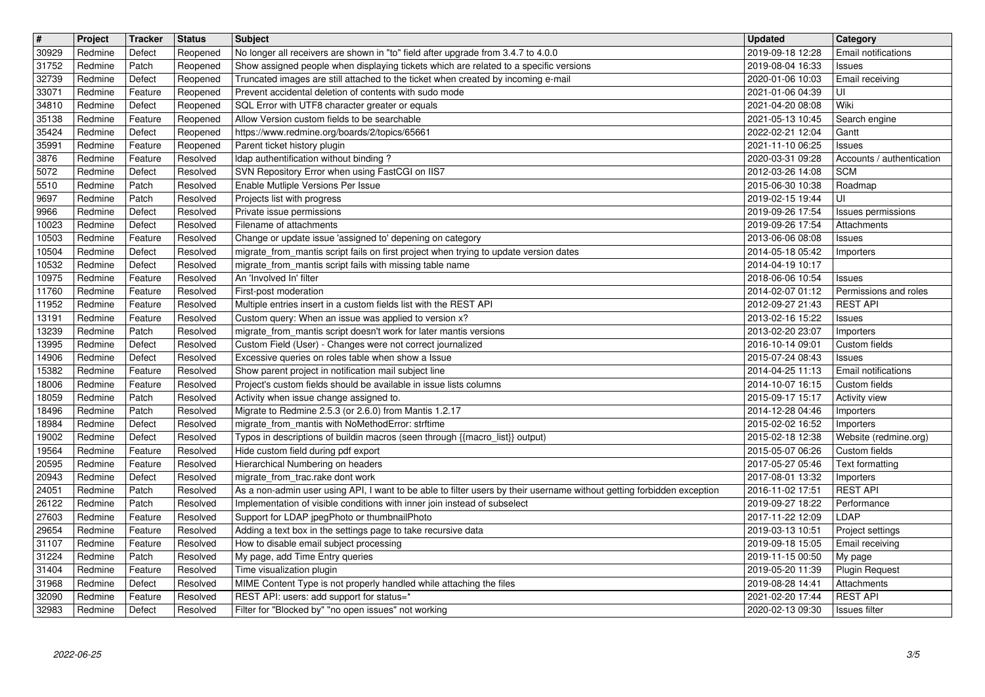| $\boxed{\texttt{#}}$ | Project            | Tracker            | <b>Status</b>        | <b>Subject</b>                                                                                                                                                             | <b>Updated</b>                       | <b>Category</b>                       |
|----------------------|--------------------|--------------------|----------------------|----------------------------------------------------------------------------------------------------------------------------------------------------------------------------|--------------------------------------|---------------------------------------|
| 30929                | Redmine            | Defect             | Reopened             | No longer all receivers are shown in "to" field after upgrade from 3.4.7 to 4.0.0                                                                                          | 2019-09-18 12:28                     | Email notifications                   |
| 31752<br>32739       | Redmine<br>Redmine | Patch<br>Defect    | Reopened<br>Reopened | Show assigned people when displaying tickets which are related to a specific versions<br>Truncated images are still attached to the ticket when created by incoming e-mail | 2019-08-04 16:33<br>2020-01-06 10:03 | Issues<br>Email receiving             |
| 33071                | Redmine            | Feature            | Reopened             | Prevent accidental deletion of contents with sudo mode                                                                                                                     | 2021-01-06 04:39                     | UI                                    |
| 34810                | Redmine            | Defect             | Reopened             | SQL Error with UTF8 character greater or equals                                                                                                                            | 2021-04-20 08:08                     | Wiki                                  |
| 35138                | Redmine            | Feature            | Reopened             | Allow Version custom fields to be searchable                                                                                                                               | 2021-05-13 10:45                     | Search engine                         |
| 35424<br>35991       | Redmine<br>Redmine | Defect<br>Feature  | Reopened<br>Reopened | https://www.redmine.org/boards/2/topics/65661<br>Parent ticket history plugin                                                                                              | 2022-02-21 12:04<br>2021-11-10 06:25 | Gantt<br>Issues                       |
| 3876                 | Redmine            | Feature            | Resolved             | Idap authentification without binding?                                                                                                                                     | 2020-03-31 09:28                     | Accounts / authentication             |
| 5072                 | Redmine            | Defect             | Resolved             | SVN Repository Error when using FastCGI on IIS7                                                                                                                            | 2012-03-26 14:08                     | <b>SCM</b>                            |
| 5510                 | Redmine            | Patch              | Resolved             | Enable Mutliple Versions Per Issue                                                                                                                                         | 2015-06-30 10:38<br>2019-02-15 19:44 | Roadmap                               |
| 9697<br>9966         | Redmine<br>Redmine | Patch<br>Defect    | Resolved<br>Resolved | Projects list with progress<br>Private issue permissions                                                                                                                   | 2019-09-26 17:54                     | UI<br>Issues permissions              |
| 10023                | Redmine            | Defect             | Resolved             | Filename of attachments                                                                                                                                                    | 2019-09-26 17:54                     | Attachments                           |
| 10503                | Redmine            | Feature            | Resolved             | Change or update issue 'assigned to' depening on category                                                                                                                  | 2013-06-06 08:08                     | Issues                                |
| 10504<br>10532       | Redmine<br>Redmine | Defect<br>Defect   | Resolved<br>Resolved | migrate_from_mantis script fails on first project when trying to update version dates<br>migrate_from_mantis script fails with missing table name                          | 2014-05-18 05:42<br>2014-04-19 10:17 | Importers                             |
| 10975                | Redmine            | Feature            | Resolved             | An 'Involved In' filter                                                                                                                                                    | 2018-06-06 10:54                     | Issues                                |
| 11760                | Redmine            | Feature            | Resolved             | First-post moderation                                                                                                                                                      | 2014-02-07 01:12                     | Permissions and roles                 |
| 11952                | Redmine            | Feature            | Resolved             | Multiple entries insert in a custom fields list with the REST API                                                                                                          | 2012-09-27 21:43                     | <b>REST API</b>                       |
| 13191<br>13239       | Redmine<br>Redmine | Feature<br>Patch   | Resolved<br>Resolved | Custom query: When an issue was applied to version x?<br>migrate_from_mantis script doesn't work for later mantis versions                                                 | 2013-02-16 15:22<br>2013-02-20 23:07 | Issues<br>Importers                   |
| 13995                | Redmine            | Defect             | Resolved             | Custom Field (User) - Changes were not correct journalized                                                                                                                 | 2016-10-14 09:01                     | Custom fields                         |
| 14906                | Redmine            | Defect             | Resolved             | Excessive queries on roles table when show a Issue                                                                                                                         | 2015-07-24 08:43                     | Issues                                |
| 15382                | Redmine            | Feature            | Resolved             | Show parent project in notification mail subject line                                                                                                                      | 2014-04-25 11:13                     | Email notifications                   |
| 18006<br>18059       | Redmine<br>Redmine | Feature<br>Patch   | Resolved<br>Resolved | Project's custom fields should be available in issue lists columns<br>Activity when issue change assigned to.                                                              | 2014-10-07 16:15<br>2015-09-17 15:17 | Custom fields<br><b>Activity view</b> |
| 18496                | Redmine            | Patch              | Resolved             | Migrate to Redmine 2.5.3 (or 2.6.0) from Mantis 1.2.17                                                                                                                     | 2014-12-28 04:46                     | Importers                             |
| 18984                | Redmine            | Defect             | Resolved             | migrate_from_mantis with NoMethodError: strftime                                                                                                                           | 2015-02-02 16:52                     | Importers                             |
| 19002                | Redmine            | Defect             | Resolved             | Typos in descriptions of buildin macros (seen through {{macro_list}} output)                                                                                               | 2015-02-18 12:38                     | Website (redmine.org)                 |
| 19564<br>20595       | Redmine<br>Redmine | Feature<br>Feature | Resolved<br>Resolved | Hide custom field during pdf export<br>Hierarchical Numbering on headers                                                                                                   | 2015-05-07 06:26<br>2017-05-27 05:46 | Custom fields<br>Text formatting      |
| 20943                | Redmine            | Defect             | Resolved             | migrate_from_trac.rake dont work                                                                                                                                           | 2017-08-01 13:32                     | Importers                             |
| 24051                | Redmine            | Patch              | Resolved             | As a non-admin user using API, I want to be able to filter users by their username without getting forbidden exception                                                     | 2016-11-02 17:51                     | <b>REST API</b>                       |
| 26122<br>27603       | Redmine<br>Redmine | Patch<br>Feature   | Resolved<br>Resolved | Implementation of visible conditions with inner join instead of subselect<br>Support for LDAP jpegPhoto or thumbnailPhoto                                                  | 2019-09-27 18:22<br>2017-11-22 12:09 | Performance<br>LDAP                   |
| 29654                | Redmine            | Feature            | Resolved             | Adding a text box in the settings page to take recursive data                                                                                                              | 2019-03-13 10:51                     | Project settings                      |
| 31107                | Redmine            | Feature            | Resolved             | How to disable email subject processing                                                                                                                                    | 2019-09-18 15:05                     | Email receiving                       |
| 31224                | Redmine            | Patch              | Resolved             | My page, add Time Entry queries                                                                                                                                            | 2019-11-15 00:50                     | My page                               |
| 31404<br>31968       | Redmine<br>Redmine | Feature<br>Defect  | Resolved<br>Resolved | Time visualization plugin<br>MIME Content Type is not properly handled while attaching the files                                                                           | 2019-05-20 11:39<br>2019-08-28 14:41 | <b>Plugin Request</b><br>Attachments  |
| 32090                | Redmine            | Feature            | Resolved             | REST API: users: add support for status=*                                                                                                                                  | 2021-02-20 17:44                     | <b>REST API</b>                       |
| 32983                | Redmine            | Defect             | Resolved             | Filter for "Blocked by" "no open issues" not working                                                                                                                       | 2020-02-13 09:30                     | Issues filter                         |
|                      |                    |                    |                      |                                                                                                                                                                            |                                      |                                       |
|                      |                    |                    |                      |                                                                                                                                                                            |                                      |                                       |
|                      |                    |                    |                      |                                                                                                                                                                            |                                      |                                       |
|                      |                    |                    |                      |                                                                                                                                                                            |                                      |                                       |
|                      |                    |                    |                      |                                                                                                                                                                            |                                      |                                       |
|                      |                    |                    |                      |                                                                                                                                                                            |                                      |                                       |
|                      |                    |                    |                      |                                                                                                                                                                            |                                      |                                       |
|                      |                    |                    |                      |                                                                                                                                                                            |                                      |                                       |
|                      |                    |                    |                      |                                                                                                                                                                            |                                      |                                       |
|                      |                    |                    |                      |                                                                                                                                                                            |                                      |                                       |
|                      |                    |                    |                      |                                                                                                                                                                            |                                      |                                       |
|                      |                    |                    |                      |                                                                                                                                                                            |                                      |                                       |
|                      |                    |                    |                      |                                                                                                                                                                            |                                      |                                       |
|                      |                    |                    |                      |                                                                                                                                                                            |                                      |                                       |
|                      |                    |                    |                      |                                                                                                                                                                            |                                      |                                       |
|                      |                    |                    |                      |                                                                                                                                                                            |                                      |                                       |
|                      |                    |                    |                      |                                                                                                                                                                            |                                      |                                       |
|                      |                    |                    |                      |                                                                                                                                                                            |                                      |                                       |
|                      |                    |                    |                      |                                                                                                                                                                            |                                      |                                       |
|                      |                    |                    |                      |                                                                                                                                                                            |                                      |                                       |
|                      |                    |                    |                      |                                                                                                                                                                            |                                      |                                       |
|                      |                    |                    |                      |                                                                                                                                                                            |                                      |                                       |
|                      |                    |                    |                      |                                                                                                                                                                            |                                      |                                       |
|                      |                    |                    |                      |                                                                                                                                                                            |                                      |                                       |
|                      |                    |                    |                      |                                                                                                                                                                            |                                      |                                       |
|                      |                    |                    |                      |                                                                                                                                                                            |                                      |                                       |
|                      |                    |                    |                      |                                                                                                                                                                            |                                      |                                       |
|                      |                    |                    |                      |                                                                                                                                                                            |                                      |                                       |
|                      |                    |                    |                      |                                                                                                                                                                            |                                      |                                       |
|                      |                    |                    |                      |                                                                                                                                                                            |                                      |                                       |
|                      |                    |                    |                      |                                                                                                                                                                            |                                      |                                       |
|                      |                    |                    |                      |                                                                                                                                                                            |                                      |                                       |
|                      |                    |                    |                      |                                                                                                                                                                            |                                      |                                       |
|                      |                    |                    |                      |                                                                                                                                                                            |                                      |                                       |
|                      |                    |                    |                      |                                                                                                                                                                            |                                      |                                       |
|                      |                    |                    |                      |                                                                                                                                                                            |                                      |                                       |
|                      |                    |                    |                      |                                                                                                                                                                            |                                      |                                       |
|                      |                    |                    |                      |                                                                                                                                                                            |                                      |                                       |
|                      |                    |                    |                      |                                                                                                                                                                            |                                      |                                       |
|                      |                    |                    |                      |                                                                                                                                                                            |                                      |                                       |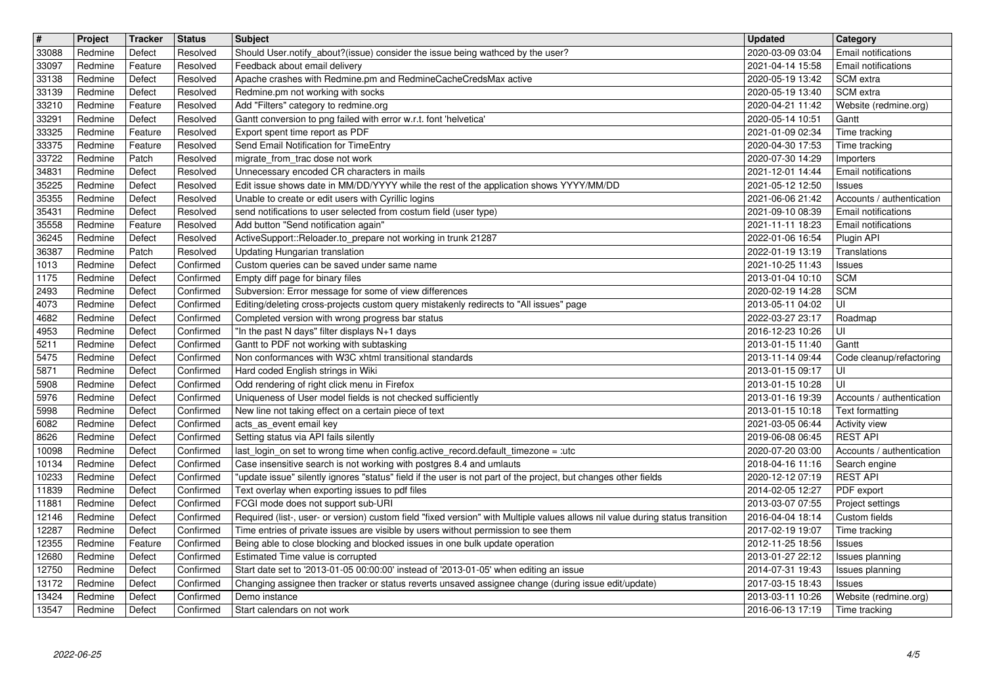| $\boxed{\texttt{#}}$ | Project            | Tracker            | <b>Status</b>          | <b>Subject</b>                                                                                                                 | <b>Updated</b>                                         | <b>Category</b>                                         |
|----------------------|--------------------|--------------------|------------------------|--------------------------------------------------------------------------------------------------------------------------------|--------------------------------------------------------|---------------------------------------------------------|
| 33088                | Redmine            | Defect             | Resolved<br>Resolved   | Should User.notify_about?(issue) consider the issue being wathced by the user?                                                 | 2020-03-09 03:04                                       | Email notifications<br><b>Email notifications</b>       |
| 33097<br>33138       | Redmine<br>Redmine | Feature<br>Defect  | Resolved               | Feedback about email delivery<br>Apache crashes with Redmine.pm and RedmineCacheCredsMax active                                | 2021-04-14 15:58<br>2020-05-19 13:42                   | <b>SCM</b> extra                                        |
| 33139                | Redmine            | Defect             | Resolved               | Redmine.pm not working with socks                                                                                              | 2020-05-19 13:40                                       | SCM extra                                               |
| 33210                | Redmine            | Feature            | Resolved               | Add "Filters" category to redmine.org                                                                                          | 2020-04-21 11:42                                       | Website (redmine.org)                                   |
| 33291                | Redmine            | Defect             | Resolved               | Gantt conversion to png failed with error w.r.t. font 'helvetica'                                                              | 2020-05-14 10:51                                       | Gantt                                                   |
| 33325<br>33375       | Redmine<br>Redmine | Feature<br>Feature | Resolved<br>Resolved   | Export spent time report as PDF<br>Send Email Notification for TimeEntry                                                       | 2021-01-09 02:34<br>2020-04-30 17:53                   | Time tracking<br>Time tracking                          |
| 33722                | Redmine            | Patch              | Resolved               | migrate_from_trac dose not work                                                                                                | 2020-07-30 14:29                                       | Importers                                               |
| 34831                | Redmine            | Defect             | Resolved               | Unnecessary encoded CR characters in mails                                                                                     | 2021-12-01 14:44                                       | Email notifications                                     |
| 35225                | Redmine            | Defect             | Resolved               | Edit issue shows date in MM/DD/YYYY while the rest of the application shows YYYY/MM/DD                                         | 2021-05-12 12:50                                       | Issues                                                  |
| 35355<br>35431       | Redmine<br>Redmine | Defect<br>Defect   | Resolved<br>Resolved   | Unable to create or edit users with Cyrillic logins<br>send notifications to user selected from costum field (user type)       | 2021-06-06 21:42<br>2021-09-10 08:39                   | Accounts / authentication<br><b>Email notifications</b> |
| 35558                | Redmine            | Feature            | Resolved               | Add button "Send notification again"                                                                                           | 2021-11-11 18:23                                       | Email notifications                                     |
| 36245                | Redmine            | Defect             | Resolved               | ActiveSupport::Reloader.to_prepare not working in trunk 21287                                                                  | 2022-01-06 16:54                                       | Plugin API                                              |
| 36387                | Redmine            | Patch              | Resolved               | Updating Hungarian translation                                                                                                 | 2022-01-19 13:19                                       | Translations                                            |
| 1013                 | Redmine            | Defect             | Confirmed              | Custom queries can be saved under same name                                                                                    | 2021-10-25 11:43                                       | Issues                                                  |
| 1175<br>2493         | Redmine<br>Redmine | Defect<br>Defect   | Confirmed<br>Confirmed | Empty diff page for binary files<br>Subversion: Error message for some of view differences                                     | 2013-01-04 10:10<br>2020-02-19 14:28                   | <b>SCM</b><br><b>SCM</b>                                |
| 4073                 | Redmine            | Defect             | Confirmed              | Editing/deleting cross-projects custom query mistakenly redirects to "All issues" page                                         | 2013-05-11 04:02                                       | luı                                                     |
| 4682                 | Redmine            | Defect             | Confirmed              | Completed version with wrong progress bar status                                                                               | 2022-03-27 23:17                                       | Roadmap                                                 |
| 4953<br>5211         | Redmine<br>Redmine | Defect<br>Defect   | Confirmed<br>Confirmed | "In the past N days" filter displays N+1 days<br>Gantt to PDF not working with subtasking                                      | 2016-12-23 10:26<br>2013-01-15 11:40                   | UI<br>Gantt                                             |
| 5475                 | Redmine            | Defect             | Confirmed              | Non conformances with W3C xhtml transitional standards                                                                         | 2013-11-14 09:44                                       | Code cleanup/refactoring                                |
| 5871                 | Redmine            | Defect             | Confirmed              | Hard coded English strings in Wiki                                                                                             | 2013-01-15 09:17                                       | UI                                                      |
| 5908                 | Redmine            | Defect             | Confirmed              | Odd rendering of right click menu in Firefox                                                                                   | 2013-01-15 10:28                                       | UI                                                      |
| 5976                 | Redmine            | Defect             | Confirmed              | Uniqueness of User model fields is not checked sufficiently                                                                    | 2013-01-16 19:39                                       | Accounts / authentication                               |
| 5998<br>6082         | Redmine<br>Redmine | Defect<br>Defect   | Confirmed<br>Confirmed | New line not taking effect on a certain piece of text<br>acts_as_event email key                                               | 2013-01-15 10:18<br>2021-03-05 06:44                   | Text formatting<br>Activity view                        |
| 8626                 | Redmine            | Defect             | Confirmed              | Setting status via API fails silently                                                                                          | 2019-06-08 06:45                                       | <b>REST API</b>                                         |
| 10098                | Redmine            | Defect             | Confirmed              | last_login_on set to wrong time when config.active_record.default_timezone = :utc                                              | 2020-07-20 03:00                                       | Accounts / authentication                               |
| 10134                | Redmine            | Defect             | Confirmed              | Case insensitive search is not working with postgres 8.4 and umlauts                                                           | 2018-04-16 11:16                                       | Search engine                                           |
| 10233                | Redmine            | Defect             | Confirmed              | "update issue" silently ignores "status" field if the user is not part of the project, but changes other fields                | 2020-12-12 07:19                                       | <b>REST API</b>                                         |
| 11839<br>11881       | Redmine<br>Redmine | Defect<br>Defect   | Confirmed<br>Confirmed | Text overlay when exporting issues to pdf files<br>FCGI mode does not support sub-URI                                          | 2014-02-05 12:27<br>2013-03-07 07:55                   | PDF export<br>Project settings                          |
| 12146                | Redmine            | Defect             | Confirmed              | Required (list-, user- or version) custom field "fixed version" with Multiple values allows nil value during status transition | 2016-04-04 18:14                                       | Custom fields                                           |
| 12287                | Redmine            | Defect             | Confirmed              | Time entries of private issues are visible by users without permission to see them                                             | 2017-02-19 19:07                                       | Time tracking                                           |
| 12355                | Redmine            | Feature            | Confirmed              | Being able to close blocking and blocked issues in one bulk update operation                                                   | 2012-11-25 18:56                                       | Issues                                                  |
| 12680<br>12750       | Redmine<br>Redmine | Defect<br>Defect   | Confirmed<br>Confirmed | Estimated Time value is corrupted<br>Start date set to '2013-01-05 00:00:00' instead of '2013-01-05' when editing an issue     | 2013-01-27 22:12   Issues planning<br>2014-07-31 19:43 |                                                         |
| 13172                | Redmine            | Defect             | Confirmed              | Changing assignee then tracker or status reverts unsaved assignee change (during issue edit/update)                            | 2017-03-15 18:43                                       | Issues planning<br>Issues                               |
| 13424                | Redmine            | Defect             | Confirmed              | Demo instance                                                                                                                  | 2013-03-11 10:26                                       | Website (redmine.org)                                   |
| 13547                | Redmine            | Defect             | Confirmed              | Start calendars on not work                                                                                                    | 2016-06-13 17:19                                       | Time tracking                                           |
|                      | 2022-06-25         |                    |                        |                                                                                                                                |                                                        | 4/5                                                     |
|                      |                    |                    |                        |                                                                                                                                |                                                        |                                                         |
|                      |                    |                    |                        |                                                                                                                                |                                                        |                                                         |
|                      |                    |                    |                        |                                                                                                                                |                                                        |                                                         |
|                      |                    |                    |                        |                                                                                                                                |                                                        |                                                         |
|                      |                    |                    |                        |                                                                                                                                |                                                        |                                                         |
|                      |                    |                    |                        |                                                                                                                                |                                                        |                                                         |
|                      |                    |                    |                        |                                                                                                                                |                                                        |                                                         |
|                      |                    |                    |                        |                                                                                                                                |                                                        |                                                         |
|                      |                    |                    |                        |                                                                                                                                |                                                        |                                                         |
|                      |                    |                    |                        |                                                                                                                                |                                                        |                                                         |
|                      |                    |                    |                        |                                                                                                                                |                                                        |                                                         |
|                      |                    |                    |                        |                                                                                                                                |                                                        |                                                         |
|                      |                    |                    |                        |                                                                                                                                |                                                        |                                                         |
|                      |                    |                    |                        |                                                                                                                                |                                                        |                                                         |
|                      |                    |                    |                        |                                                                                                                                |                                                        |                                                         |
|                      |                    |                    |                        |                                                                                                                                |                                                        |                                                         |
|                      |                    |                    |                        |                                                                                                                                |                                                        |                                                         |
|                      |                    |                    |                        |                                                                                                                                |                                                        |                                                         |
|                      |                    |                    |                        |                                                                                                                                |                                                        |                                                         |
|                      |                    |                    |                        |                                                                                                                                |                                                        |                                                         |
|                      |                    |                    |                        |                                                                                                                                |                                                        |                                                         |
|                      |                    |                    |                        |                                                                                                                                |                                                        |                                                         |
|                      |                    |                    |                        |                                                                                                                                |                                                        |                                                         |
|                      |                    |                    |                        |                                                                                                                                |                                                        |                                                         |
|                      |                    |                    |                        |                                                                                                                                |                                                        |                                                         |
|                      |                    |                    |                        |                                                                                                                                |                                                        |                                                         |
|                      |                    |                    |                        |                                                                                                                                |                                                        |                                                         |
|                      |                    |                    |                        |                                                                                                                                |                                                        |                                                         |
|                      |                    |                    |                        |                                                                                                                                |                                                        |                                                         |
|                      |                    |                    |                        |                                                                                                                                |                                                        |                                                         |
|                      |                    |                    |                        |                                                                                                                                |                                                        |                                                         |
|                      |                    |                    |                        |                                                                                                                                |                                                        |                                                         |
|                      |                    |                    |                        |                                                                                                                                |                                                        |                                                         |
|                      |                    |                    |                        |                                                                                                                                |                                                        |                                                         |
|                      |                    |                    |                        |                                                                                                                                |                                                        |                                                         |
|                      |                    |                    |                        |                                                                                                                                |                                                        |                                                         |
|                      |                    |                    |                        |                                                                                                                                |                                                        |                                                         |
|                      |                    |                    |                        |                                                                                                                                |                                                        |                                                         |
|                      |                    |                    |                        |                                                                                                                                |                                                        |                                                         |
|                      |                    |                    |                        |                                                                                                                                |                                                        |                                                         |
|                      |                    |                    |                        |                                                                                                                                |                                                        |                                                         |
|                      |                    |                    |                        |                                                                                                                                |                                                        |                                                         |